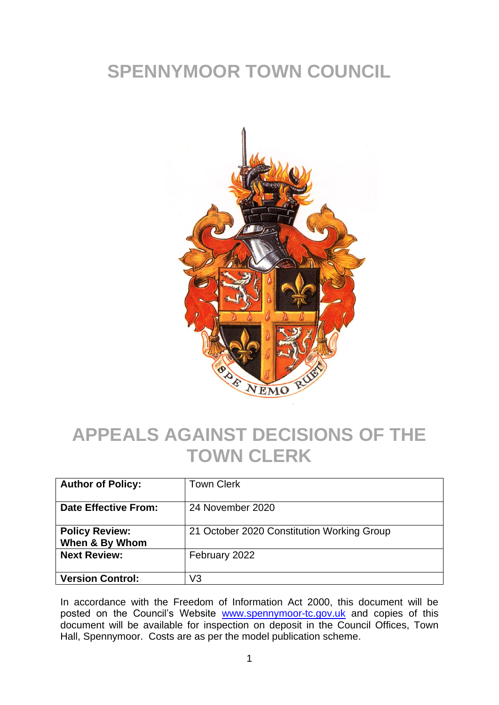## **SPENNYMOOR TOWN COUNCIL**



## **APPEALS AGAINST DECISIONS OF THE TOWN CLERK**

| <b>Author of Policy:</b>                | <b>Town Clerk</b>                          |
|-----------------------------------------|--------------------------------------------|
| <b>Date Effective From:</b>             | 24 November 2020                           |
| <b>Policy Review:</b><br>When & By Whom | 21 October 2020 Constitution Working Group |
| <b>Next Review:</b>                     | February 2022                              |
| <b>Version Control:</b>                 | V3                                         |

In accordance with the Freedom of Information Act 2000, this document will be posted on the Council's Website [www.spennymoor-tc.gov.uk](http://www.spennymoor-tc.gov.uk/) and copies of this document will be available for inspection on deposit in the Council Offices, Town Hall, Spennymoor. Costs are as per the model publication scheme.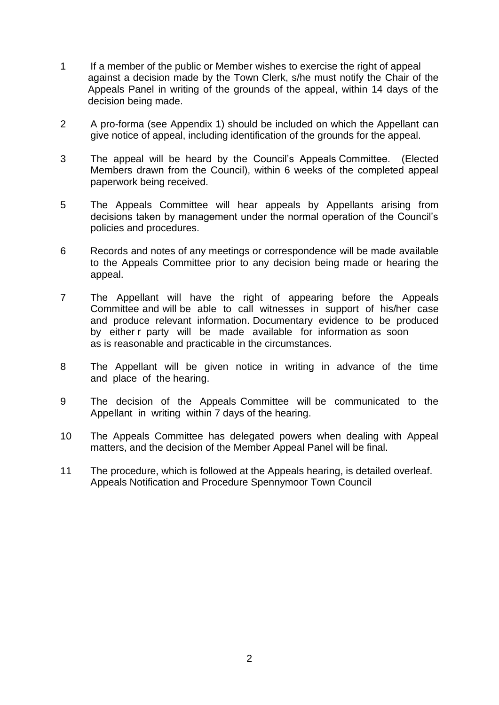- 1 If a member of the public or Member wishes to exercise the right of appeal against a decision made by the Town Clerk, s/he must notify the Chair of the Appeals Panel in writing of the grounds of the appeal, within 14 days of the decision being made.
- 2 A pro-forma (see Appendix 1) should be included on which the Appellant can give notice of appeal, including identification of the grounds for the appeal.
- 3 The appeal will be heard by the Council's Appeals Committee. (Elected Members drawn from the Council), within 6 weeks of the completed appeal paperwork being received.
- 5 The Appeals Committee will hear appeals by Appellants arising from decisions taken by management under the normal operation of the Council's policies and procedures.
- 6 Records and notes of any meetings or correspondence will be made available to the Appeals Committee prior to any decision being made or hearing the appeal.
- 7 The Appellant will have the right of appearing before the Appeals Committee and will be able to call witnesses in support of his/her case and produce relevant information. Documentary evidence to be produced by either r party will be made available for information as soon as is reasonable and practicable in the circumstances.
- 8 The Appellant will be given notice in writing in advance of the time and place of the hearing.
- 9 The decision of the Appeals Committee will be communicated to the Appellant in writing within 7 days of the hearing.
- 10 The Appeals Committee has delegated powers when dealing with Appeal matters, and the decision of the Member Appeal Panel will be final.
- 11 The procedure, which is followed at the Appeals hearing, is detailed overleaf. Appeals Notification and Procedure Spennymoor Town Council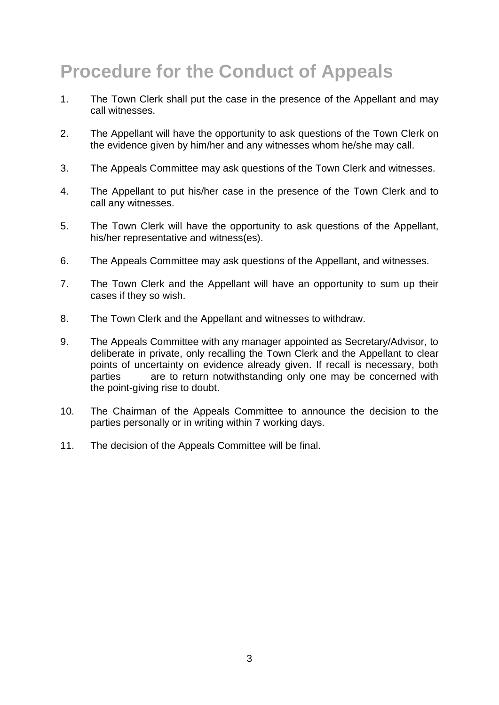# **Procedure for the Conduct of Appeals**

- 1. The Town Clerk shall put the case in the presence of the Appellant and may call witnesses.
- 2. The Appellant will have the opportunity to ask questions of the Town Clerk on the evidence given by him/her and any witnesses whom he/she may call.
- 3. The Appeals Committee may ask questions of the Town Clerk and witnesses.
- 4. The Appellant to put his/her case in the presence of the Town Clerk and to call any witnesses.
- 5. The Town Clerk will have the opportunity to ask questions of the Appellant, his/her representative and witness(es).
- 6. The Appeals Committee may ask questions of the Appellant, and witnesses.
- 7. The Town Clerk and the Appellant will have an opportunity to sum up their cases if they so wish.
- 8. The Town Clerk and the Appellant and witnesses to withdraw.
- 9. The Appeals Committee with any manager appointed as Secretary/Advisor, to deliberate in private, only recalling the Town Clerk and the Appellant to clear points of uncertainty on evidence already given. If recall is necessary, both parties are to return notwithstanding only one may be concerned with the point-giving rise to doubt.
- 10. The Chairman of the Appeals Committee to announce the decision to the parties personally or in writing within 7 working days.
- 11. The decision of the Appeals Committee will be final.